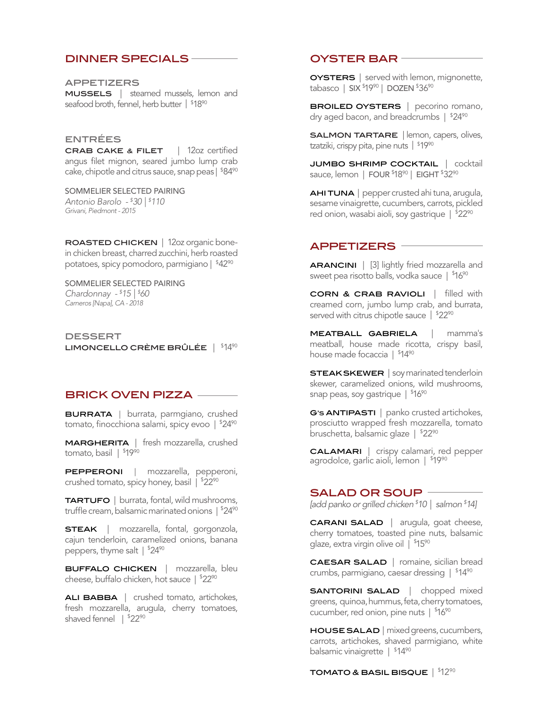## dinner specials

appetizers mussels | steamed mussels, lemon and seafood broth, fennel, herb butter | \$18<sup>90</sup>

## entrées

crab cake & filet | 12oz certified angus filet mignon, seared jumbo lump crab cake, chipotle and citrus sauce, snap peas | \$84<sup>90</sup>

SOMMELIER SELECTED PAIRING *Antonio Barolo - \$ 30 | \$ 110 Grivani, Piedmont - 2015*

ROASTED CHICKEN | 12oz organic bonein chicken breast, charred zucchini, herb roasted potatoes, spicy pomodoro, parmigiano | \$42<sup>90</sup>

SOMMELIER SELECTED PAIRING *Chardonnay - \$ 15 | \$ 60 Carneros [Napa], CA - 2018*

**DESSERT** LIMONCELLO CRÈME BRÛLÉE  $|$   $$14\textsuperscript{90}$ 

# **BRICK OVEN PIZZA -**

BURRATA | burrata, parmgiano, crushed tomato, finocchiona salami, spicy evoo |  $$24\textsuperscript{90}$ 

MARGHERITA | fresh mozzarella, crushed tomato, basil | \$19<sup>90</sup>

PEPPERONI | mozzarella, pepperoni, crushed tomato, spicy honey, basil | \$22<sup>90</sup>

TARTUFO | burrata, fontal, wild mushrooms, truffle cream, balsamic marinated onions |  $$24\textsuperscript{90}$ 

**STEAK** | mozzarella, fontal, gorgonzola, cajun tenderloin, caramelized onions, banana peppers, thyme salt | \$24<sup>90</sup>

BUFFALO CHICKEN | mozzarella, bleu cheese, buffalo chicken, hot sauce | \$22<sup>90</sup>

ALI BABBA | crushed tomato, artichokes, fresh mozzarella, arugula, cherry tomatoes, shaved fennel | \$22<sup>90</sup>

# oyster bar

**OYSTERS** | served with lemon, mignonette, tabasco | SIX <sup>\$</sup>19<sup>90</sup> | DOZEN <sup>\$</sup>36<sup>90</sup>

**BROILED OYSTERS** | pecorino romano, dry aged bacon, and breadcrumbs |  $$24\textsuperscript{90}$ 

salmon TARTARE | lemon, capers, olives, tzatziki, crispy pita, pine nuts | \$19<sup>90</sup>

jumbo shrimp cocktail | cocktail sauce, lemon | FOUR <sup>\$</sup>18<sup>90</sup> | EIGHT <sup>\$</sup>32<sup>90</sup>

AHI TUNA | pepper crusted ahi tuna, arugula, sesame vinaigrette, cucumbers, carrots, pickled red onion, wasabi aioli, soy gastrique |  $^{\$}$ 22%

## appetizers

ARANCINI | [3] lightly fried mozzarella and sweet pea risotto balls, vodka sauce |  $^{\$16\%}$ 

corn & crab ravioli | filled with creamed corn, jumbo lump crab, and burrata, served with citrus chipotle sauce | \$22<sup>90</sup>

meatball gabriela | mamma's meatball, house made ricotta, crispy basil, house made focaccia | <sup>\$</sup>14<sup>90</sup>

**STEAK SKEWER** | soy marinated tenderloin skewer, caramelized onions, wild mushrooms, snap peas, soy gastrique  $\mid$   $^{\$}16^{90}$ 

G's **ANTIPASTI** | panko crusted artichokes, prosciutto wrapped fresh mozzarella, tomato bruschetta, balsamic glaze |  $$22\%$ 

calamari | crispy calamari, red pepper agrodolce, garlic aioli, lemon | <sup>\$</sup>19<sup>90</sup>

### salad or soup

*[add panko or grilled chicken \$ 10 | salmon \$ 14]*

**CARANI SALAD** | arugula, goat cheese, cherry tomatoes, toasted pine nuts, balsamic glaze, extra virgin olive oil | <sup>\$</sup>15<sup>90</sup>

CAESAR SALAD | romaine, sicilian bread crumbs, parmigiano, caesar dressing | \$ 1490

**SANTORINI SALAD** | chopped mixed greens, quinoa, hummus, feta, cherry tomatoes, cucumber, red onion, pine nuts | \$16<sup>90</sup>

HOUSE SALAD | mixed greens, cucumbers, carrots, artichokes, shaved parmigiano, white balsamic vinaigrette | \$14<sup>90</sup>

TOMATO & BASIL BISQUE  $\mid$   $^{\$}12^{90}$